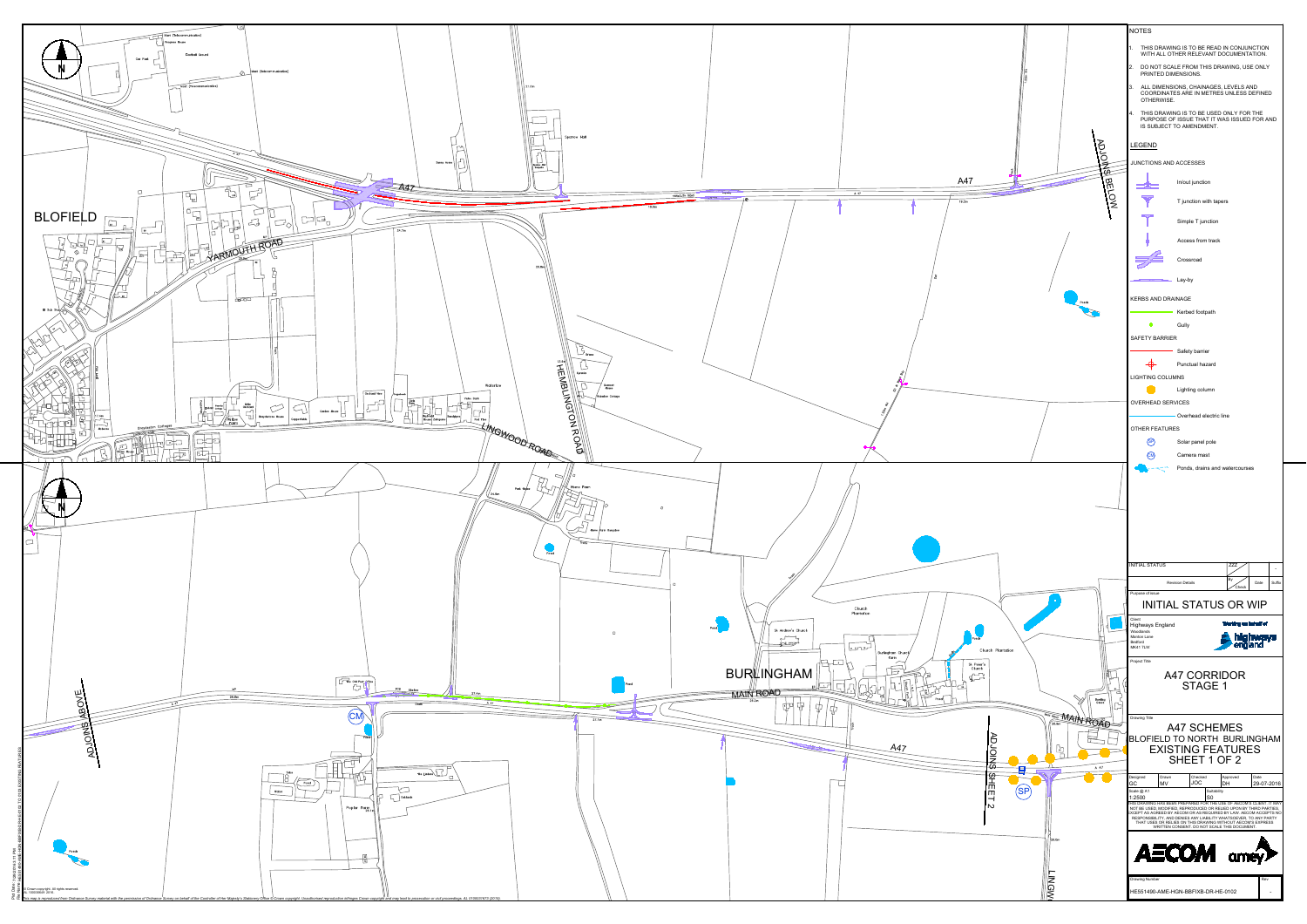

|                                                              | <b>NOTES</b>                                                                                                                                                                                                                                                                         |
|--------------------------------------------------------------|--------------------------------------------------------------------------------------------------------------------------------------------------------------------------------------------------------------------------------------------------------------------------------------|
|                                                              | 1. THIS DRAWING IS TO BE READ IN CONJUNCTION<br>WITH ALL OTHER RELEVANT DOCUMENTATION.                                                                                                                                                                                               |
|                                                              | 2. DO NOT SCALE FROM THIS DRAWING, USE ONLY<br>PRINTED DIMENSIONS.                                                                                                                                                                                                                   |
|                                                              | 3. ALL DIMENSIONS, CHAINAGES, LEVELS AND<br>COORDINATES ARE IN METRES UNLESS DEFINED                                                                                                                                                                                                 |
|                                                              | OTHERWISE.<br>4. THIS DRAWING IS TO BE USED ONLY FOR THE<br>PURPOSE OF ISSUE THAT IT WAS ISSUED FOR AND<br>IS SUBJECT TO AMENDMENT.                                                                                                                                                  |
|                                                              | <b>LEGEND</b>                                                                                                                                                                                                                                                                        |
| POSSIB                                                       | JUNCTIONS AND ACCESSES                                                                                                                                                                                                                                                               |
| A47                                                          | In/out junction                                                                                                                                                                                                                                                                      |
| <b>BELOW</b><br>19.2m                                        | T junction with tapers                                                                                                                                                                                                                                                               |
|                                                              | Simple T junction                                                                                                                                                                                                                                                                    |
|                                                              | Access from track                                                                                                                                                                                                                                                                    |
|                                                              | Crossroad                                                                                                                                                                                                                                                                            |
|                                                              | Lay-by                                                                                                                                                                                                                                                                               |
| Ponds                                                        | <b>KERBS AND DRAINAGE</b>                                                                                                                                                                                                                                                            |
|                                                              | Kerbed footpath                                                                                                                                                                                                                                                                      |
|                                                              | $\bullet$<br>Gully<br>SAFETY BARRIER                                                                                                                                                                                                                                                 |
|                                                              | Safety barrier                                                                                                                                                                                                                                                                       |
|                                                              | Punctual hazard<br><b>LIGHTING COLUMNS</b>                                                                                                                                                                                                                                           |
|                                                              | Lighting column                                                                                                                                                                                                                                                                      |
|                                                              | <b>OVERHEAD SERVICES</b><br>Overhead electric line                                                                                                                                                                                                                                   |
|                                                              | <b>OTHER FEATURES</b>                                                                                                                                                                                                                                                                |
|                                                              | (SP)<br>Solar panel pole<br>$\left(\text{CM}\right)$<br>Camera mast                                                                                                                                                                                                                  |
|                                                              | Ponds, drains and watercourses                                                                                                                                                                                                                                                       |
|                                                              |                                                                                                                                                                                                                                                                                      |
|                                                              |                                                                                                                                                                                                                                                                                      |
|                                                              |                                                                                                                                                                                                                                                                                      |
|                                                              |                                                                                                                                                                                                                                                                                      |
|                                                              | <b>INITIAL STATUS</b><br><b>ZZZ</b><br>$\overline{a}$                                                                                                                                                                                                                                |
|                                                              | By<br><b>Revision Details</b><br>Suffix<br>Date<br>Check<br>Purpose of issue                                                                                                                                                                                                         |
| O                                                            | <b>INITIAL STATUS OR WIP</b>                                                                                                                                                                                                                                                         |
|                                                              | Client<br>Working on behalf of<br>Highways England<br>Woodlands                                                                                                                                                                                                                      |
| Ponds<br>Church Plantation                                   | highways<br>england<br>Manton Lane<br>Bedford<br><b>MK41 7LW</b>                                                                                                                                                                                                                     |
| St Peter's<br>Church                                         | Project Title                                                                                                                                                                                                                                                                        |
| $\sqrt{2}$                                                   | A47 CORRIDOR<br><b>STAGE 1</b>                                                                                                                                                                                                                                                       |
| Bowling<br>Green                                             |                                                                                                                                                                                                                                                                                      |
|                                                              | Drawing Title<br><b>A47 SCHEMES</b>                                                                                                                                                                                                                                                  |
|                                                              |                                                                                                                                                                                                                                                                                      |
| TROP MAIN ROAD                                               | BLOFIELD TO NORTH BURLINGHAM                                                                                                                                                                                                                                                         |
| <b>ADJOII</b><br>$\bigcup_{\mathsf{B} \in \mathcal{C}}$<br>г | <b>EXISTING FEATURES</b><br>SHEET 1 OF 2                                                                                                                                                                                                                                             |
| $\frac{1}{\mathfrak{S}}$<br>A 47<br>目                        | Date<br>Designed<br>Drawn<br>Checked<br>Approved<br><b>JOC</b><br>DH                                                                                                                                                                                                                 |
| <b>SHEET</b><br>(SP)                                         | GC<br><b>MV</b><br>29-07-2016<br>Scale @ A1<br>Suitability<br>S <sub>0</sub><br>1:2500                                                                                                                                                                                               |
| $\mathbf w$                                                  | THIS DRAWING HAS BEEN PREPARED FOR THE USE OF AECOM'S CLIENT. IT MAY<br>NOT BE USED, MODIFIED, REPRODUCED OR RELIED UPON BY THIRD PARTIES,<br>EXCEPT AS AGREED BY AECOM OR AS REQUIRED BY LAW. AECOM ACCEPTS NO<br>RESPONSIBILITY, AND DENIES ANY LIABILITY WHATSOEVER, TO ANY PARTY |
| 26.0m                                                        | THAT USES OR RELIES ON THIS DRAWING WITHOUT AECOM'S EXPRESS<br>WRITTEN CONSENT. DO NOT SCALE THIS DOCUMENT.                                                                                                                                                                          |
|                                                              |                                                                                                                                                                                                                                                                                      |
|                                                              | <b>AECOM</b> amey                                                                                                                                                                                                                                                                    |
| <b>LINGW</b>                                                 | Rev<br>Drawing Number<br>HE551490-AME-HGN-BBFIXB-DR-HE-0102                                                                                                                                                                                                                          |